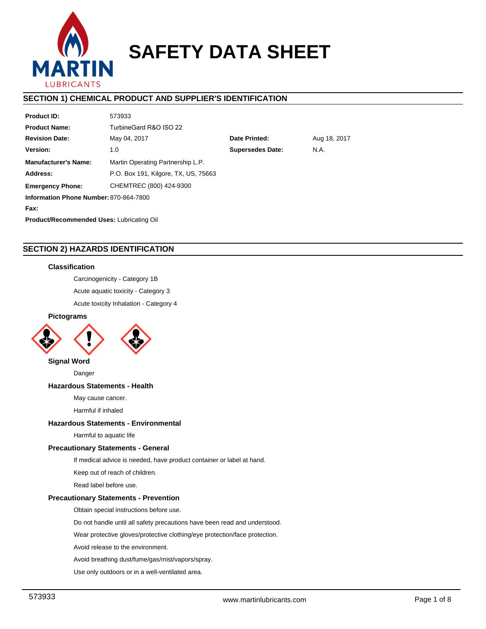

# **SAFETY DATA SHEET**

# **SECTION 1) CHEMICAL PRODUCT AND SUPPLIER'S IDENTIFICATION**

| <b>Product ID:</b>                               | 573933                               |                                 |              |  |  |  |  |
|--------------------------------------------------|--------------------------------------|---------------------------------|--------------|--|--|--|--|
| <b>Product Name:</b>                             | TurbineGard R&O ISO 22               |                                 |              |  |  |  |  |
| <b>Revision Date:</b>                            | May 04, 2017                         | Date Printed:                   | Aug 18, 2017 |  |  |  |  |
| Version:                                         | 1.0                                  | <b>Supersedes Date:</b><br>N.A. |              |  |  |  |  |
| <b>Manufacturer's Name:</b>                      | Martin Operating Partnership L.P.    |                                 |              |  |  |  |  |
| Address:                                         | P.O. Box 191, Kilgore, TX, US, 75663 |                                 |              |  |  |  |  |
| <b>Emergency Phone:</b>                          | CHEMTREC (800) 424-9300              |                                 |              |  |  |  |  |
| Information Phone Number: 870-864-7800           |                                      |                                 |              |  |  |  |  |
| Fax:                                             |                                      |                                 |              |  |  |  |  |
| <b>Product/Recommended Uses: Lubricating Oil</b> |                                      |                                 |              |  |  |  |  |
|                                                  |                                      |                                 |              |  |  |  |  |

# **SECTION 2) HAZARDS IDENTIFICATION**

# **Classification**

Carcinogenicity - Category 1B

Acute aquatic toxicity - Category 3

Acute toxicity Inhalation - Category 4

# **Pictograms**



**Signal Word**

Danger

## **Hazardous Statements - Health**

May cause cancer.

Harmful if inhaled

# **Hazardous Statements - Environmental**

Harmful to aquatic life

## **Precautionary Statements - General**

If medical advice is needed, have product container or label at hand.

Keep out of reach of children.

Read label before use.

# **Precautionary Statements - Prevention**

Obtain special instructions before use.

Do not handle until all safety precautions have been read and understood.

Wear protective gloves/protective clothing/eye protection/face protection.

Avoid release to the environment.

Avoid breathing dust/fume/gas/mist/vapors/spray.

Use only outdoors or in a well-ventilated area.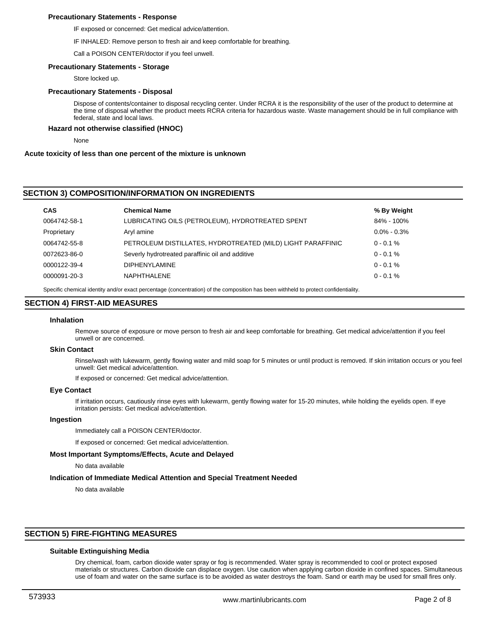## **Precautionary Statements - Response**

IF exposed or concerned: Get medical advice/attention.

IF INHALED: Remove person to fresh air and keep comfortable for breathing.

Call a POISON CENTER/doctor if you feel unwell.

#### **Precautionary Statements - Storage**

Store locked up.

#### **Precautionary Statements - Disposal**

Dispose of contents/container to disposal recycling center. Under RCRA it is the responsibility of the user of the product to determine at the time of disposal whether the product meets RCRA criteria for hazardous waste. Waste management should be in full compliance with federal, state and local laws.

#### **Hazard not otherwise classified (HNOC)**

None

#### **Acute toxicity of less than one percent of the mixture is unknown**

## **SECTION 3) COMPOSITION/INFORMATION ON INGREDIENTS**

| <b>Chemical Name</b>                                        | % By Weight     |
|-------------------------------------------------------------|-----------------|
| LUBRICATING OILS (PETROLEUM), HYDROTREATED SPENT            | 84% - 100%      |
| Aryl amine                                                  | $0.0\% - 0.3\%$ |
| PETROLEUM DISTILLATES, HYDROTREATED (MILD) LIGHT PARAFFINIC | $0 - 0.1 %$     |
| Severly hydrotreated paraffinic oil and additive            | $0 - 0.1 %$     |
| <b>DIPHENYLAMINE</b>                                        | $0 - 0.1 %$     |
| NAPHTHALENE                                                 | $0 - 0.1 %$     |
|                                                             |                 |

Specific chemical identity and/or exact percentage (concentration) of the composition has been withheld to protect confidentiality.

#### **SECTION 4) FIRST-AID MEASURES**

#### **Inhalation**

Remove source of exposure or move person to fresh air and keep comfortable for breathing. Get medical advice/attention if you feel unwell or are concerned.

#### **Skin Contact**

Rinse/wash with lukewarm, gently flowing water and mild soap for 5 minutes or until product is removed. If skin irritation occurs or you feel unwell: Get medical advice/attention.

If exposed or concerned: Get medical advice/attention.

#### **Eye Contact**

If irritation occurs, cautiously rinse eyes with lukewarm, gently flowing water for 15-20 minutes, while holding the eyelids open. If eye irritation persists: Get medical advice/attention.

## **Ingestion**

Immediately call a POISON CENTER/doctor.

If exposed or concerned: Get medical advice/attention.

#### **Most Important Symptoms/Effects, Acute and Delayed**

No data available

#### **Indication of Immediate Medical Attention and Special Treatment Needed**

No data available

# **SECTION 5) FIRE-FIGHTING MEASURES**

#### **Suitable Extinguishing Media**

Dry chemical, foam, carbon dioxide water spray or fog is recommended. Water spray is recommended to cool or protect exposed materials or structures. Carbon dioxide can displace oxygen. Use caution when applying carbon dioxide in confined spaces. Simultaneous use of foam and water on the same surface is to be avoided as water destroys the foam. Sand or earth may be used for small fires only.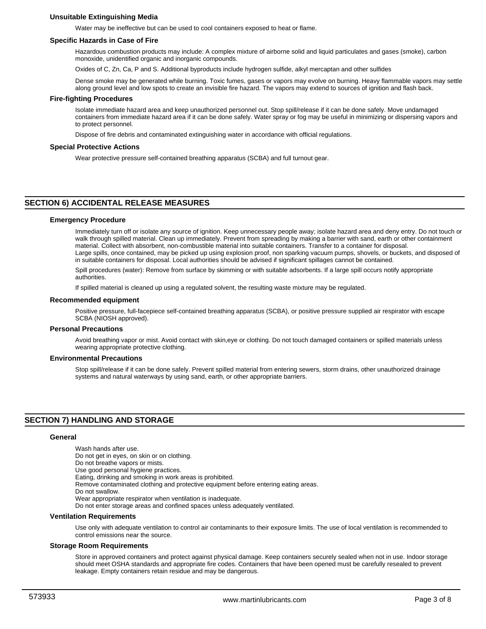# **Unsuitable Extinguishing Media**

Water may be ineffective but can be used to cool containers exposed to heat or flame.

#### **Specific Hazards in Case of Fire**

Hazardous combustion products may include: A complex mixture of airborne solid and liquid particulates and gases (smoke), carbon monoxide, unidentified organic and inorganic compounds.

Oxides of C, Zn, Ca, P and S. Additional byproducts include hydrogen sulfide, alkyl mercaptan and other sulfides

Dense smoke may be generated while burning. Toxic fumes, gases or vapors may evolve on burning. Heavy flammable vapors may settle along ground level and low spots to create an invisible fire hazard. The vapors may extend to sources of ignition and flash back.

## **Fire-fighting Procedures**

Isolate immediate hazard area and keep unauthorized personnel out. Stop spill/release if it can be done safely. Move undamaged containers from immediate hazard area if it can be done safely. Water spray or fog may be useful in minimizing or dispersing vapors and to protect personnel.

Dispose of fire debris and contaminated extinguishing water in accordance with official regulations.

# **Special Protective Actions**

Wear protective pressure self-contained breathing apparatus (SCBA) and full turnout gear.

# **SECTION 6) ACCIDENTAL RELEASE MEASURES**

#### **Emergency Procedure**

Immediately turn off or isolate any source of ignition. Keep unnecessary people away; isolate hazard area and deny entry. Do not touch or walk through spilled material. Clean up immediately. Prevent from spreading by making a barrier with sand, earth or other containment material. Collect with absorbent, non-combustible material into suitable containers. Transfer to a container for disposal. Large spills, once contained, may be picked up using explosion proof, non sparking vacuum pumps, shovels, or buckets, and disposed of in suitable containers for disposal. Local authorities should be advised if significant spillages cannot be contained.

Spill procedures (water): Remove from surface by skimming or with suitable adsorbents. If a large spill occurs notify appropriate authorities.

If spilled material is cleaned up using a regulated solvent, the resulting waste mixture may be regulated.

#### **Recommended equipment**

Positive pressure, full-facepiece self-contained breathing apparatus (SCBA), or positive pressure supplied air respirator with escape SCBA (NIOSH approved).

#### **Personal Precautions**

Avoid breathing vapor or mist. Avoid contact with skin,eye or clothing. Do not touch damaged containers or spilled materials unless wearing appropriate protective clothing.

#### **Environmental Precautions**

Stop spill/release if it can be done safely. Prevent spilled material from entering sewers, storm drains, other unauthorized drainage systems and natural waterways by using sand, earth, or other appropriate barriers.

# **SECTION 7) HANDLING AND STORAGE**

#### **General**

Wash hands after use. Do not get in eyes, on skin or on clothing. Do not breathe vapors or mists. Use good personal hygiene practices. Eating, drinking and smoking in work areas is prohibited. Remove contaminated clothing and protective equipment before entering eating areas. Do not swallow. Wear appropriate respirator when ventilation is inadequate. Do not enter storage areas and confined spaces unless adequately ventilated.

#### **Ventilation Requirements**

Use only with adequate ventilation to control air contaminants to their exposure limits. The use of local ventilation is recommended to control emissions near the source.

#### **Storage Room Requirements**

Store in approved containers and protect against physical damage. Keep containers securely sealed when not in use. Indoor storage should meet OSHA standards and appropriate fire codes. Containers that have been opened must be carefully resealed to prevent leakage. Empty containers retain residue and may be dangerous.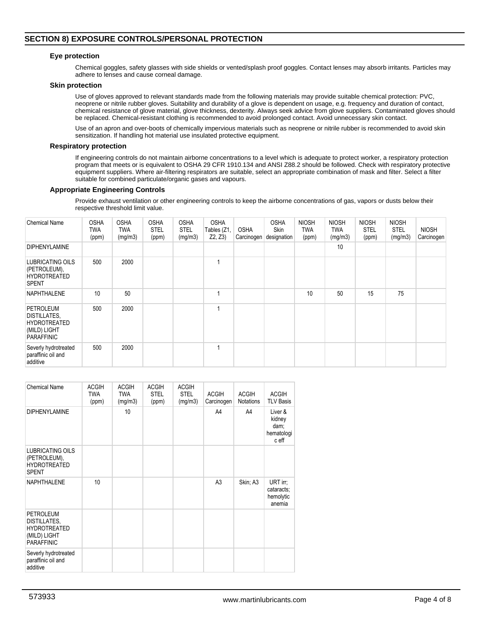# **SECTION 8) EXPOSURE CONTROLS/PERSONAL PROTECTION**

## **Eye protection**

Chemical goggles, safety glasses with side shields or vented/splash proof goggles. Contact lenses may absorb irritants. Particles may adhere to lenses and cause corneal damage.

#### **Skin protection**

Use of gloves approved to relevant standards made from the following materials may provide suitable chemical protection: PVC, neoprene or nitrile rubber gloves. Suitability and durability of a glove is dependent on usage, e.g. frequency and duration of contact, chemical resistance of glove material, glove thickness, dexterity. Always seek advice from glove suppliers. Contaminated gloves should be replaced. Chemical-resistant clothing is recommended to avoid prolonged contact. Avoid unnecessary skin contact.

Use of an apron and over-boots of chemically impervious materials such as neoprene or nitrile rubber is recommended to avoid skin sensitization. If handling hot material use insulated protective equipment.

## **Respiratory protection**

If engineering controls do not maintain airborne concentrations to a level which is adequate to protect worker, a respiratory protection program that meets or is equivalent to OSHA 29 CFR 1910.134 and ANSI Z88.2 should be followed. Check with respiratory protective equipment suppliers. Where air-filtering respirators are suitable, select an appropriate combination of mask and filter. Select a filter suitable for combined particulate/organic gases and vapours.

#### **Appropriate Engineering Controls**

Provide exhaust ventilation or other engineering controls to keep the airborne concentrations of gas, vapors or dusts below their respective threshold limit value.

| <b>Chemical Name</b>                                                                  | <b>OSHA</b><br>TWA<br>(ppm) | <b>OSHA</b><br><b>TWA</b><br>(mg/m3) | <b>OSHA</b><br><b>STEL</b><br>(ppm) | <b>OSHA</b><br><b>STEL</b><br>(mg/m3) | <b>OSHA</b><br>Tables (Z1,<br>Z2, Z3 | <b>OSHA</b><br>Carcinogen | <b>OSHA</b><br><b>Skin</b><br>designation | <b>NIOSH</b><br><b>TWA</b><br>(ppm) | <b>NIOSH</b><br><b>TWA</b><br>(mg/m3) | <b>NIOSH</b><br><b>STEL</b><br>(ppm) | <b>NIOSH</b><br><b>STEL</b><br>(mg/m3) | <b>NIOSH</b><br>Carcinogen |
|---------------------------------------------------------------------------------------|-----------------------------|--------------------------------------|-------------------------------------|---------------------------------------|--------------------------------------|---------------------------|-------------------------------------------|-------------------------------------|---------------------------------------|--------------------------------------|----------------------------------------|----------------------------|
| <b>DIPHENYLAMINE</b>                                                                  |                             |                                      |                                     |                                       |                                      |                           |                                           |                                     | 10                                    |                                      |                                        |                            |
| <b>LUBRICATING OILS</b><br>(PETROLEUM),<br><b>HYDROTREATED</b><br><b>SPENT</b>        | 500                         | 2000                                 |                                     |                                       |                                      |                           |                                           |                                     |                                       |                                      |                                        |                            |
| <b>NAPHTHALENE</b>                                                                    | 10                          | 50                                   |                                     |                                       |                                      |                           |                                           | 10                                  | 50                                    | 15                                   | 75                                     |                            |
| PETROLEUM<br>DISTILLATES,<br><b>HYDROTREATED</b><br>(MILD) LIGHT<br><b>PARAFFINIC</b> | 500                         | 2000                                 |                                     |                                       |                                      |                           |                                           |                                     |                                       |                                      |                                        |                            |
| Severly hydrotreated<br>paraffinic oil and<br>additive                                | 500                         | 2000                                 |                                     |                                       |                                      |                           |                                           |                                     |                                       |                                      |                                        |                            |

| <b>Chemical Name</b>                                                                         | <b>ACGIH</b><br><b>TWA</b><br>(ppm) | <b>ACGIH</b><br><b>TWA</b><br>(mg/m3) | <b>ACGIH</b><br><b>STEL</b><br>(ppm) | <b>ACGIH</b><br><b>STEL</b><br>(mq/m3) | <b>ACGIH</b><br>Carcinogen | <b>ACGIH</b><br>Notations | <b>ACGIH</b><br><b>TLV Basis</b>                 |
|----------------------------------------------------------------------------------------------|-------------------------------------|---------------------------------------|--------------------------------------|----------------------------------------|----------------------------|---------------------------|--------------------------------------------------|
| <b>DIPHENYLAMINE</b>                                                                         |                                     | 10                                    |                                      |                                        | A4                         | A4                        | Liver &<br>kidney<br>dam;<br>hematologi<br>c eff |
| <b>LUBRICATING OILS</b><br>(PETROLEUM),<br><b>HYDROTREATED</b><br><b>SPENT</b>               |                                     |                                       |                                      |                                        |                            |                           |                                                  |
| <b>NAPHTHALENE</b>                                                                           | 10                                  |                                       |                                      |                                        | A <sub>3</sub>             | Skin; A3                  | URT irr;<br>cataracts:<br>hemolytic<br>anemia    |
| <b>PETROLEUM</b><br>DISTILLATES,<br><b>HYDROTREATED</b><br>(MILD) LIGHT<br><b>PARAFFINIC</b> |                                     |                                       |                                      |                                        |                            |                           |                                                  |
| Severly hydrotreated<br>paraffinic oil and<br>additive                                       |                                     |                                       |                                      |                                        |                            |                           |                                                  |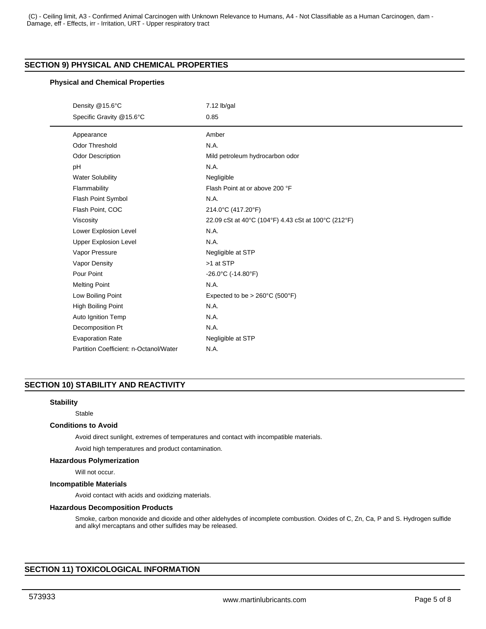# **SECTION 9) PHYSICAL AND CHEMICAL PROPERTIES**

# **Physical and Chemical Properties**

| Density @15.6°C                        | $7.12$ lb/gal                                       |
|----------------------------------------|-----------------------------------------------------|
| Specific Gravity @15.6°C               | 0.85                                                |
| Appearance                             | Amber                                               |
| <b>Odor Threshold</b>                  | N.A.                                                |
| <b>Odor Description</b>                | Mild petroleum hydrocarbon odor                     |
| pH                                     | N.A.                                                |
| <b>Water Solubility</b>                | Negligible                                          |
| Flammability                           | Flash Point at or above 200 °F                      |
| Flash Point Symbol                     | N.A.                                                |
| Flash Point, COC                       | 214.0°C (417.20°F)                                  |
| Viscosity                              | 22.09 cSt at 40°C (104°F) 4.43 cSt at 100°C (212°F) |
| Lower Explosion Level                  | N.A.                                                |
| <b>Upper Explosion Level</b>           | N.A.                                                |
| Vapor Pressure                         | Negligible at STP                                   |
| Vapor Density                          | >1 at STP                                           |
| Pour Point                             | $-26.0^{\circ}$ C (-14.80 $^{\circ}$ F)             |
| <b>Melting Point</b>                   | N.A.                                                |
| Low Boiling Point                      | Expected to be > $260^{\circ}$ C (500 $^{\circ}$ F) |
| High Boiling Point                     | N.A.                                                |
| Auto Ignition Temp                     | N.A.                                                |
| Decomposition Pt                       | N.A.                                                |
| <b>Evaporation Rate</b>                | Negligible at STP                                   |
| Partition Coefficient: n-Octanol/Water | N.A.                                                |

# **SECTION 10) STABILITY AND REACTIVITY**

## **Stability**

Stable

## **Conditions to Avoid**

Avoid direct sunlight, extremes of temperatures and contact with incompatible materials.

Avoid high temperatures and product contamination.

# **Hazardous Polymerization**

Will not occur.

## **Incompatible Materials**

Avoid contact with acids and oxidizing materials.

## **Hazardous Decomposition Products**

Smoke, carbon monoxide and dioxide and other aldehydes of incomplete combustion. Oxides of C, Zn, Ca, P and S. Hydrogen sulfide and alkyl mercaptans and other sulfides may be released.

# **SECTION 11) TOXICOLOGICAL INFORMATION**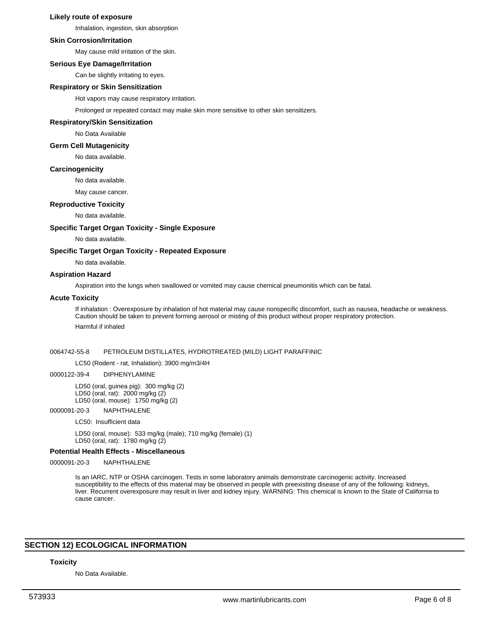## **Likely route of exposure**

Inhalation, ingestion, skin absorption

# **Skin Corrosion/Irritation**

May cause mild irritation of the skin.

## **Serious Eye Damage/Irritation**

Can be slightly irritating to eyes.

# **Respiratory or Skin Sensitization**

Hot vapors may cause respiratory irritation.

Prolonged or repeated contact may make skin more sensitive to other skin sensitizers.

## **Respiratory/Skin Sensitization**

No Data Available

#### **Germ Cell Mutagenicity**

No data available.

#### **Carcinogenicity**

No data available.

May cause cancer.

## **Reproductive Toxicity**

No data available.

# **Specific Target Organ Toxicity - Single Exposure**

No data available.

#### **Specific Target Organ Toxicity - Repeated Exposure**

No data available.

# **Aspiration Hazard**

Aspiration into the lungs when swallowed or vomited may cause chemical pneumonitis which can be fatal.

#### **Acute Toxicity**

If inhalation : Overexposure by inhalation of hot material may cause nonspecific discomfort, such as nausea, headache or weakness. Caution should be taken to prevent forming aerosol or misting of this product without proper respiratory protection. Harmful if inhaled

#### 0064742-55-8 PETROLEUM DISTILLATES, HYDROTREATED (MILD) LIGHT PARAFFINIC

#### LC50 (Rodent - rat, Inhalation): 3900 mg/m3/4H

#### 0000122-39-4 DIPHENYLAMINE

LD50 (oral, guinea pig): 300 mg/kg (2) LD50 (oral, rat): 2000 mg/kg (2) LD50 (oral, mouse): 1750 mg/kg (2)

#### 0000091-20-3 NAPHTHALENE

LC50: Insufficient data

LD50 (oral, mouse): 533 mg/kg (male); 710 mg/kg (female) (1) LD50 (oral, rat): 1780 mg/kg (2)

## **Potential Health Effects - Miscellaneous**

0000091-20-3 NAPHTHALENE

Is an IARC, NTP or OSHA carcinogen. Tests in some laboratory animals demonstrate carcinogenic activity. Increased susceptibility to the effects of this material may be observed in people with preexisting disease of any of the following: kidneys, liver. Recurrent overexposure may result in liver and kidney injury. WARNING: This chemical is known to the State of California to cause cancer.

# **SECTION 12) ECOLOGICAL INFORMATION**

#### **Toxicity**

No Data Available.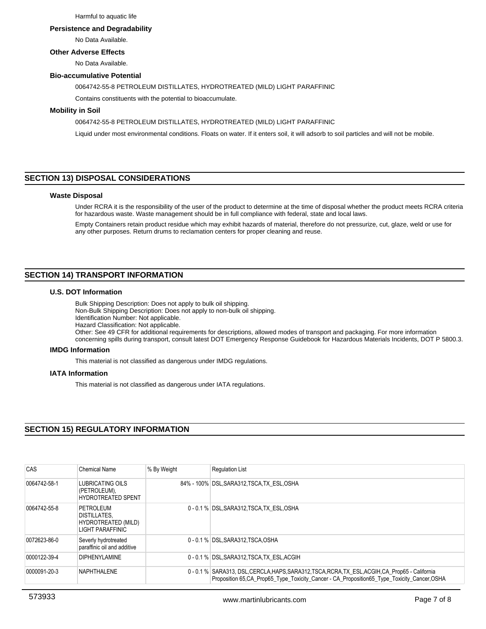Harmful to aquatic life

#### **Persistence and Degradability**

No Data Available.

## **Other Adverse Effects**

No Data Available.

## **Bio-accumulative Potential**

0064742-55-8 PETROLEUM DISTILLATES, HYDROTREATED (MILD) LIGHT PARAFFINIC

Contains constituents with the potential to bioaccumulate.

## **Mobility in Soil**

0064742-55-8 PETROLEUM DISTILLATES, HYDROTREATED (MILD) LIGHT PARAFFINIC

Liquid under most environmental conditions. Floats on water. If it enters soil, it will adsorb to soil particles and will not be mobile.

# **SECTION 13) DISPOSAL CONSIDERATIONS**

#### **Waste Disposal**

Under RCRA it is the responsibility of the user of the product to determine at the time of disposal whether the product meets RCRA criteria for hazardous waste. Waste management should be in full compliance with federal, state and local laws.

Empty Containers retain product residue which may exhibit hazards of material, therefore do not pressurize, cut, glaze, weld or use for any other purposes. Return drums to reclamation centers for proper cleaning and reuse.

# **SECTION 14) TRANSPORT INFORMATION**

# **U.S. DOT Information**

Bulk Shipping Description: Does not apply to bulk oil shipping.

Non-Bulk Shipping Description: Does not apply to non-bulk oil shipping.

Identification Number: Not applicable.

Hazard Classification: Not applicable. Other: See 49 CFR for additional requirements for descriptions, allowed modes of transport and packaging. For more information

concerning spills during transport, consult latest DOT Emergency Response Guidebook for Hazardous Materials Incidents, DOT P 5800.3.

## **IMDG Information**

This material is not classified as dangerous under IMDG regulations.

## **IATA Information**

This material is not classified as dangerous under IATA regulations.

# **SECTION 15) REGULATORY INFORMATION**

| CAS          | Chemical Name                                                        | % By Weight | <b>Requlation List</b>                                                                                                                                                                           |
|--------------|----------------------------------------------------------------------|-------------|--------------------------------------------------------------------------------------------------------------------------------------------------------------------------------------------------|
| 0064742-58-1 | LUBRICATING OILS<br>(PETROLEUM),<br><b>HYDROTREATED SPENT</b>        |             | 84% - 100% DSL, SARA312, TSCA, TX ESL, OSHA                                                                                                                                                      |
| 0064742-55-8 | PETROLEUM<br>DISTILLATES.<br>HYDROTREATED (MILD)<br>LIGHT PARAFFINIC |             | 0 - 0.1 % DSL, SARA312, TSCA, TX ESL, OSHA                                                                                                                                                       |
| 0072623-86-0 | Severly hydrotreated<br>paraffinic oil and additive                  |             | 0 - 0.1 % DSL.SARA312.TSCA.OSHA                                                                                                                                                                  |
| 0000122-39-4 | <b>DIPHENYLAMINE</b>                                                 |             | 0 - 0.1 % DSL, SARA312, TSCA, TX ESL, ACGIH                                                                                                                                                      |
| 0000091-20-3 | NAPHTHALENE                                                          |             | 0 - 0.1 % SARA313, DSL, CERCLA, HAPS, SARA312, TSCA, RCRA, TX_ESL, ACGIH, CA_Prop65 - California<br>Proposition 65.CA Prop65 Type Toxicity Cancer - CA Proposition 65 Type Toxicity Cancer, OSHA |